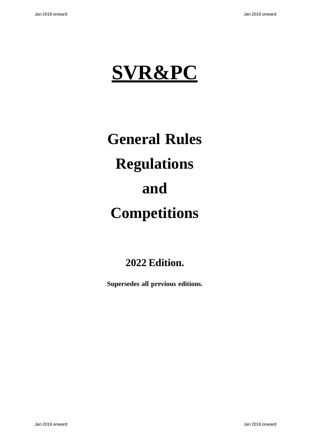

# **General Rules Regulations and Competitions**

# **2022 Edition.**

**Supersedes all previous editions.**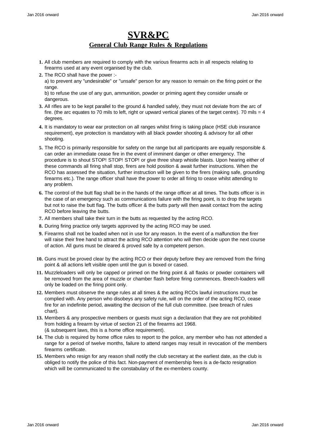## **SVR&PC General Club Range Rules & Regulations**

- **1.** All club members are required to comply with the various firearms acts in all respects relating to firearms used at any event organised by the club.
- **2.** The RCO shall have the power :-

a) to prevent any "undesirable" or "unsafe" person for any reason to remain on the firing point or the range.

b) to refuse the use of any gun, ammunition, powder or priming agent they consider unsafe or dangerous.

- **3.** All rifles are to be kept parallel to the ground & handled safely, they must not deviate from the arc of fire. (the arc equates to 70 mils to left, right or upward vertical planes of the target centre). 70 mils = 4 degrees.
- **4.** It is mandatory to wear ear protection on all ranges whilst firing is taking place (HSE club insurance requirement), eye protection is mandatory with all black powder shooting & advisory for all other shooting.
- **5.** The RCO is primarily responsible for safety on the range but all participants are equally responsible & can order an immediate cease fire in the event of imminent danger or other emergency. The procedure is to shout STOP! STOP! STOP! or give three sharp whistle blasts. Upon hearing either of these commands all firing shall stop, firers are hold position & await further instructions. When the RCO has assessed the situation, further instruction will be given to the firers (making safe, grounding firearms etc.). The range officer shall have the power to order all firing to cease whilst attending to any problem.
- **6.** The control of the butt flag shall be in the hands of the range officer at all times. The butts officer is in the case of an emergency such as communications failure with the firing point, is to drop the targets but not to raise the butt flag. The butts officer & the butts party will then await contact from the acting RCO before leaving the butts.
- **7.** All members shall take their turn in the butts as requested by the acting RCO.
- **8.** During firing practice only targets approved by the acting RCO may be used.
- **9.** Firearms shall not be loaded when not in use for any reason. In the event of a malfunction the firer will raise their free hand to attract the acting RCO attention who will then decide upon the next course of action. All guns must be cleared & proved safe by a competent person.
- **10.** Guns must be proved clear by the acting RCO or their deputy before they are removed from the firing point & all actions left visible open until the gun is boxed or cased.
- **11.** Muzzleloaders will only be capped or primed on the firing point & all flasks or powder containers will be removed from the area of muzzle or chamber flash before firing commences. Breech-loaders will only be loaded on the firing point only.
- **12.** Members must observe the range rules at all times & the acting RCOs lawful instructions must be complied with. Any person who disobeys any safety rule, will on the order of the acting RCO, cease fire for an indefinite period, awaiting the decision of the full club committee. (see breach of rules chart).
- **13.** Members & any prospective members or guests must sign a declaration that they are not prohibited from holding a firearm by virtue of section 21 of the firearms act 1968. (& subsequent laws, this is a home office requirement).
- **14.** The club is required by home office rules to report to the police, any member who has not attended a range for a period of twelve months, failure to attend ranges may result in revocation of the members firearms certificate.
- **15.** Members who resign for any reason shall notify the club secretary at the earliest date, as the club is obliged to notify the police of this fact. Non-payment of membership fees is a de-facto resignation which will be communicated to the constabulary of the ex-members county.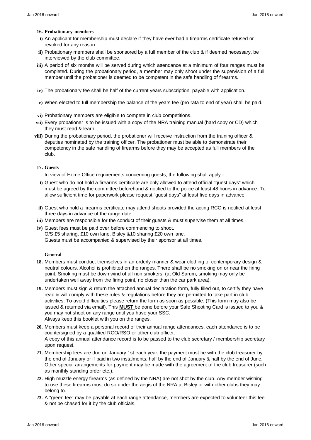#### **16. Probationary members**

- **i)** An applicant for membership must declare if they have ever had a firearms certificate refused or revoked for any reason.
- **ii)** Probationary members shall be sponsored by a full member of the club & if deemed necessary, be interviewed by the club committee.
- **iii)** A period of six months will be served during which attendance at a minimum of four ranges must be completed. During the probationary period, a member may only shoot under the supervision of a full member until the probationer is deemed to be competent in the safe handling of firearms.
- **iv)** The probationary fee shall be half of the current years subscription, payable with application.
- **v)** When elected to full membership the balance of the years fee (pro rata to end of year) shall be paid.
- **vi)** Probationary members are eligible to compete in club competitions.
- **vii)** Every probationer is to be issued with a copy of the NRA training manual (hard copy or CD) which they must read & learn.
- **viii)** During the probationary period, the probationer will receive instruction from the training officer & deputies nominated by the training officer. The probationer must be able to demonstrate their competency in the safe handling of firearms before they may be accepted as full members of the club.

#### **17. Guests**

In view of Home Office requirements concerning guests, the following shall apply -

- **i)** Guest who do not hold a firearms certificate are only allowed to attend official "guest days" which must be agreed by the committee beforehand & notified to the police at least 48 hours in advance. To allow sufficient time for paperwork please request "guest days" at least five days in advance.
- **ii)** Guest who hold a firearms certificate may attend shoots provided the acting RCO is notified at least three days in advance of the range date.
- **iii)** Members are responsible for the conduct of their guests & must supervise them at all times.
- **iv)** Guest fees must be paid over before commencing to shoot. O/S £5 sharing, £10 own lane. Bisley &10 sharing £20 own lane. Guests must be accompanied & supervised by their sponsor at all times.

#### **General**

- **18.** Members must conduct themselves in an orderly manner & wear clothing of contemporary design & neutral colours. Alcohol is prohibited on the ranges. There shall be no smoking on or near the firing point. Smoking must be down wind of all non smokers. (at Old Sarum, smoking may only be undertaken well away from the firing point, no closer than the car park area).
- **19.** Members must sign & return the attached annual declaration form, fully filled out, to certify they have read & will comply with these rules & regulations before they are permitted to take part in club activities. To avoid difficulties please return the form as soon as possible. (This form may also be issued & returned via email). This **MUST** be done before your Safe Shooting Card is issued to you & you may not shoot on any range until you have your SSC. Always keep this booklet with you on the ranges.
- **20.** Members must keep a personal record of their annual range attendances, each attendance is to be countersigned by a qualified RCO/RSO or other club officer. A copy of this annual attendance record is to be passed to the club secretary / membership secretary upon request.
- **21.** Membership fees are due on January 1st each year, the payment must be with the club treasurer by the end of January or if paid in two instalments, half by the end of January & half by the end of June. Other special arrangements for payment may be made with the agreement of the club treasurer (such as monthly standing order etc.).
- **22.** High muzzle energy firearms (as defined by the NRA) are not shot by the club. Any member wishing to use these firearms must do so under the aegis of the NRA at Bisley or with other clubs they may belong to.
- **23.** A "green fee" may be payable at each range attendance, members are expected to volunteer this fee & not be chased for it by the club officials.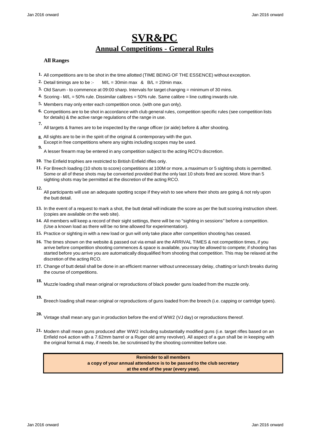# **SVR&PC Annual Competitions - General Rules**

#### **All Ranges**

- **1.** All competitions are to be shot in the time allotted (TIME BEING OF THE ESSENCE) without exception.
- 2. Detail timings are to be :-  $M/L = 30$ min max  $R_B/L = 20$ min max.
- **3.** Old Sarum to commence at 09:00 sharp. Intervals for target changing = minimum of 30 mins.
- **4.** Scoring M/L = 50% rule. Dissimilar calibres = 50% rule. Same calibre = line cutting inwards rule.
- **5.** Members may only enter each competition once. (with one gun only).
- **6.** Competitions are to be shot in accordance with club general rules, competition specific rules (see competition lists for details) & the active range regulations of the range in use. **7.**
- All targets & frames are to be inspected by the range officer (or aide) before & after shooting.
- **8.** All sights are to be in the spirit of the original & contemporary with the gun. Except in free competitions where any sights including scopes may be used.
- **9.** A lesser firearm may be entered in any competition subject to the acting RCO's discretion.
- **10.** The Enfield trophies are restricted to British Enfield rifles only.
- **11.** For Breech loading (10 shots to score) competitions at 100M or more, a maximum or 5 sighting shots is permitted. Some or all of these shots may be converted provided that the only last 10 shots fired are scored. More than 5 sighting shots may be permitted at the discretion of the acting RCO.
- **12.** All participants will use an adequate spotting scope if they wish to see where their shots are going & not rely upon the butt detail.
- **13.** In the event of a request to mark a shot, the butt detail will indicate the score as per the butt scoring instruction sheet. (copies are available on the web site).
- **14.** All members will keep a record of their sight settings, there will be no "sighting in sessions" before a competition. (Use a known load as there will be no time allowed for experimentation).
- **15.** Practice or sighting in with a new load or gun will only take place after competition shooting has ceased.
- **16.** The times shown on the website & passed out via email are the ARRIVAL TIMES & not competition times, if you arrive before competition shooting commences & space is available, you may be allowed to compete; if shooting has started before you arrive you are automatically disqualified from shooting that competition. This may be relaxed at the discretion of the acting RCO.
- **17.** Change of butt detail shall be done in an efficient manner without unnecessary delay, chatting or lunch breaks during the course of competitions.
- **18.** Muzzle loading shall mean original or reproductions of black powder guns loaded from the muzzle only.
- **19.** Breech loading shall mean original or reproductions of guns loaded from the breech (i.e. capping or cartridge types).
- **20.** Vintage shall mean any gun in production before the end of WW2 (VJ day) or reproductions thereof.
- **21.** Modern shall mean guns produced after WW2 including substantially modified guns (i.e. target rifles based on an Enfield no4 action with a 7.62mm barrel or a Ruger old army revolver). All aspect of a gun shall be in keeping with the original format & may, if needs be, be scrutinised by the shooting committee before use.

**Reminder to all members a copy of your annual attendance is to be passed to the club secretary at the end of the year (every year).**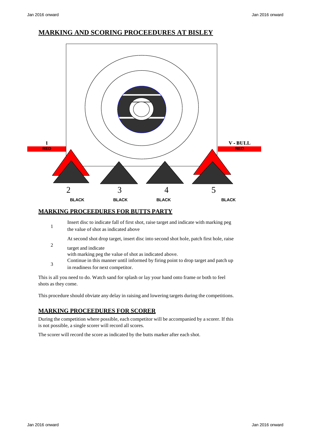### **MARKING AND SCORING PROCEEDURES AT BISLEY**



#### **MARKING PROCEEDURES FOR BUTTS PARTY**

|   | Insert disc to indicate fall of first shot, raise target and indicate with marking peg<br>the value of shot as indicated above |
|---|--------------------------------------------------------------------------------------------------------------------------------|
|   | At second shot drop target, insert disc into second shot hole, patch first hole, raise                                         |
| 2 | target and indicate<br>with marking peg the value of shot as indicated above.                                                  |
|   | Continue in this manner until informed by firing point to drop target and patch up                                             |

3 in readiness for next competitor.

This is all you need to do. Watch sand for splash or lay your hand onto frame or both to feel shots as they come.

This procedure should obviate any delay in raising and lowering targets during the competitions.

#### **MARKING PROCEEDURES FOR SCORER**

During the competition where possible, each competitor will be accompanied by a scorer. If this is not possible, a single scorer will record all scores.

The scorer will record the score as indicated by the butts marker after each shot.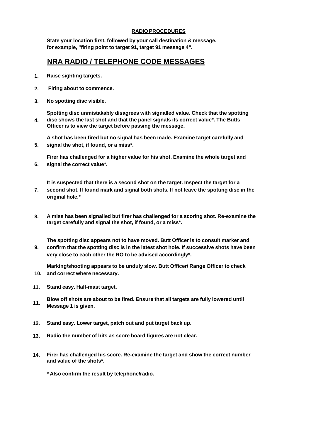#### **RADIO PROCEDURES**

**State your location first, followed by your call destination & message, for example, "firing point to target 91, target 91 message 4".**

## **NRA RADIO / TELEPHONE CODE MESSAGES**

- **1. Raise sighting targets.**
- **2. Firing about to commence.**
- **3. No spotting disc visible.**

**Spotting disc unmistakably disagrees with signalled value. Check that the spotting 4. disc shows the last shot and that the panel signals its correct value\*. The Butts Officer is to view the target before passing the message.**

**A shot has been fired but no signal has been made. Examine target carefully and 5. signal the shot, if found, or a miss\*.**

**Firer has challenged for a higher value for his shot. Examine the whole target and 6. signal the correct value\*.**

**It is suspected that there is a second shot on the target. Inspect the target for a**

- **7. second shot. If found mark and signal both shots. If not leave the spotting disc in the original hole.\***
- **8. A miss has been signalled but firer has challenged for a scoring shot. Re-examine the target carefully and signal the shot, if found, or a miss\*.**

**The spotting disc appears not to have moved. Butt Officer is to consult marker and 9. confirm that the spotting disc is in the latest shot hole. If successive shots have been very close to each other the RO to be advised accordingly\*.**

**Marking/shooting appears to be unduly slow. Butt Officer/ Range Officer to check 10. and correct where necessary.**

- **11. Stand easy. Half-mast target.**
- **11. Blow off shots are about to be fired. Ensure that all targets are fully lowered until Message 1 is given.**
- **12. Stand easy. Lower target, patch out and put target back up.**
- **13. Radio the number of hits as score board figures are not clear.**
- **14. Firer has challenged his score. Re-examine the target and show the correct number and value of the shots\*.**
	- **\* Also confirm the result by telephone/radio.**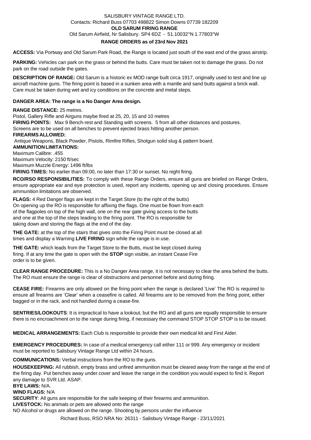#### SALISBURY VINTAGE RANGE LTD. Contacts: Richard Buss 07703 498822 Simon Downs 07739 182209 **OLD SARUM FIRING RANGE** Old Sarum Airfield, Nr Salisbury. SP4 6DZ - 51.10032°N 1.77803°W **RANGE ORDERS as of 23rd Nov 2021**

**ACCESS:** Via Portway and Old Sarum Park Road, the Range is located just south of the east end of the grass airstrip.

**PARKING:** Vehicles can park on the grass or behind the butts. Care must be taken not to damage the grass. Do not park on the road outside the gates.

**DESCRIPTION OF RANGE:** Old Sarum is a historic ex MOD range built circa 1917, originally used to test and line up aircraft machine guns. The firing point is based in a sunken area with a mantle and sand butts against a brick wall. Care must be taken during wet and icy conditions on the concrete and metal steps.

#### **DANGER AREA: The range is a No Danger Area design.**

**RANGE DISTANCE:** 25 metres.

Pistol, Gallery Rifle and Airguns maybe fired at 25, 20, 15 and 10 metres **FIRING POINTS:** Max 9 Bench-rest and Standing with screens. 5 from all other distances and postures. Screens are to be used on all benches to prevent ejected brass hitting another person. **FIREARMS ALLOWED:** Antique Weapons, Black Powder, Pistols, Rimfire Rifles, Shotgun solid slug & pattern board. **AMMUNITIONLIMITATIONS:** Maximum Calibre: .455 Maximum Velocity: 2150 ft/sec Maximum Muzzle Energy: 1496 ft/lbs **FIRING TIMES:** No earlier than 09:00, no later than 17:30 or sunset. No night firing. **RCO/RSO RESPONSIBILITIES:** To comply with these Range Orders, ensure all guns are briefed on Range Orders,

ensure appropriate ear and eye protection is used, report any incidents, opening up and closing procedures. Ensure ammunition limitations are observed.

**FLAGS:** 4 Red Danger flags are kept in the Target Store (to the right of the butts) On opening up the RO is responsible for affixing the flags. One must be flown from each of the flagpoles on top of the high wall, one on the rear gate giving access to the butts and one at the top of the steps leading to the firing point. The RO is responsible for taking down and storing the flags at the end of the day.

**THE GATE:** at the top of the stairs that gives onto the Firing Point must be closed at all times and display a Warning **LIVE FIRING** sign while the range is in use.

**THE GATE:** which leads from the Target Store to the Butts, must be kept closed during firing. If at any time the gate is open with the **STOP** sign visible, an instant Cease Fire order is to be given.

**CLEAR RANGE PROCEDURE:** This is a No Danger Area range, it is not necessary to clear the area behind the butts. The RO must ensure the range is clear of obstructions and personnel before and during firing.

**CEASE FIRE:** Firearms are only allowed on the firing point when the range is declared 'Live' The RO is required to ensure all firearms are 'Clear' when a ceasefire is called. All firearms are to be removed from the firing point, either bagged or in the rack, and not handled during a cease-fire.

**SENTRIES/LOOKOUTS**: It is impractical to have a lookout, but the RO and all guns are equally responsible to ensure there is no encroachment on to the range during firing, if necessary the command STOP STOP STOP is to be issued.

**MEDICAL ARRANGEMENTS:** Each Club is responsible to provide their own medical kit and First Aider.

**EMERGENCY PROCEDURES:** In case of a medical emergency call either 111 or 999. Any emergency or incident must be reported to Salisbury Vintage Range Ltd within 24 hours.

**COMMUNICATIONS:** Verbal instructions from the RO to the guns.

**HOUSEKEEPING:** All rubbish, empty brass and unfired ammunition must be cleared away from the range at the end of the firing day. Put benches away under cover and leave the range in the condition you would expect to find it. Report any damage to SVR Ltd. ASAP.

**BYE LAWS:** N/A. **WIND FLAGS:** N/A

**SECURITY**: All guns are responsible for the safe keeping of their firearms and ammunition.

**LIVESTOCK:** No animals or pets are allowed onto the range

NO Alcohol or drugs are allowed on the range. Shooting by persons under the influence

Richard Buss, RSO NRA No: 26311 - Salisbury Vintage Range - 23/11/2021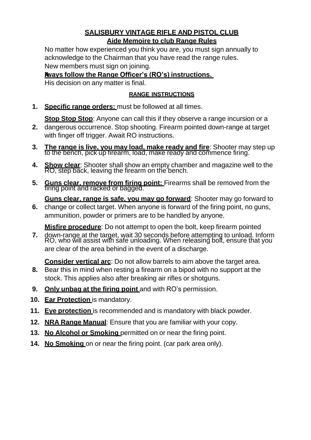## **SALISBURY VINTAGE RIFLE AND PISTOL CLUB Aide Memoire to club Range Rules**

No matter how experienced you think you are, you must sign annually to acknowledge to the Chairman that you have read the range rules. New members must sign on joining.

## **Always follow the Range Officer's (RO's) instructions.**

His decision on any matter is final.

## **RANGE INSTRUCTIONS**

**1. Specific range orders:** must be followed at all times.

**Stop Stop Stop**: Anyone can call this if they observe a range incursion or a

- **2.** dangerous occurrence. Stop shooting. Firearm pointed down-range at target with finger off trigger. Await RO instructions.
- **3. The range is live, you may load, make ready and fire**: Shooter may step up to the bench, pick up firearm, load, make ready and commence firing.
- **4. Show clear**: Shooter shall show an empty chamber and magazine well to the RO, step back, leaving the firearm on the bench.
- **5. Guns clear, remove from firing point:** Firearms shall be removed from the firing point and racked or bagged.

**Guns clear, range is safe, you may go forward**: Shooter may go forward to **6.** change or collect target. When anyone is forward of the firing point, no guns, ammunition, powder or primers are to be handled by anyone.

**Misfire procedure**: Do not attempt to open the bolt, keep firearm pointed

**7.** down-range at the target, wait 30 seconds before attempting to unload. Inform RO, who will assist with safe unloading. When releasing bolt, ensure that you are clear of the area behind in the event of a discharge.

**Consider vertical arc**: Do not allow barrels to aim above the target area.

- **8.** Bear this in mind when resting a firearm on a bipod with no support at the stock. This applies also after breaking air rifles or shotguns.
- **9. Only unbag at the firing point** and with RO's permission.
- **10. Ear Protection** is mandatory.
- **11. Eye protection** is recommended and is mandatory with black powder.
- **12. NRA Range Manual**: Ensure that you are familiar with your copy.
- **13. No Alcohol or Smoking** permitted on or near the firing point.
- **14. No Smoking** on or near the firing point. (car park area only).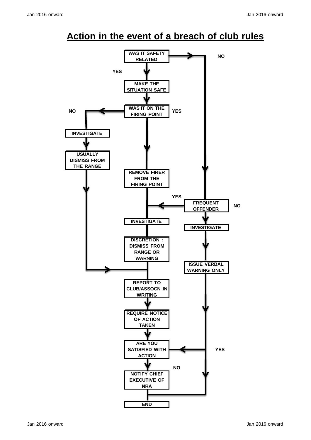# **Action in the event of a breach of club rules**

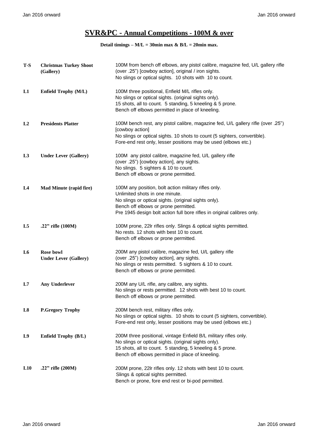## **SVR&PC - Annual Competitions - 100M & over**

| $T-S$          | <b>Christmas Turkey Shoot</b><br>(Gallery) | 100M from bench off elbows, any pistol calibre, magazine fed, U/L gallery rifle<br>(over .25") [cowboy action], original / iron sights.<br>No slings or optical sights. 10 shots with 10 to count.                                                                |
|----------------|--------------------------------------------|-------------------------------------------------------------------------------------------------------------------------------------------------------------------------------------------------------------------------------------------------------------------|
| L1             | Enfield Trophy (M/L)                       | 100M three positional, Enfield M/L rifles only.<br>No slings or optical sights. (original sights only).<br>15 shots, all to count. 5 standing, 5 kneeling & 5 prone.<br>Bench off elbows permitted in place of kneeling.                                          |
| L2             | <b>Presidents Platter</b>                  | 100M bench rest, any pistol calibre, magazine fed, U/L gallery rifle (over .25")<br>[cowboy action]<br>No slings or optical sights. 10 shots to count (5 sighters, convertible).<br>Fore-end rest only, lesser positions may be used (elbows etc.)                |
| L <sub>3</sub> | <b>Under Lever (Gallery)</b>               | 100M any pistol calibre, magazine fed, U/L gallery rifle<br>(over .25") [cowboy action], any sights.<br>No slings. 5 sighters & 10 to count.<br>Bench off elbows or prone permitted.                                                                              |
| L <sub>4</sub> | <b>Mad Minute (rapid fire)</b>             | 100M any position, bolt action military rifles only.<br>Unlimited shots in one minute.<br>No slings or optical sights. (original sights only).<br>Bench off elbows or prone permitted.<br>Pre 1945 design bolt action full bore rifles in original calibres only. |
| L <sub>5</sub> | .22" rifle (100M)                          | 100M prone, 22Ir rifles only. Slings & optical sights permitted.<br>No rests. 12 shots with best 10 to count.<br>Bench off elbows or prone permitted.                                                                                                             |
| L <sub>6</sub> | Rose bowl<br><b>Under Lever (Gallery)</b>  | 200M any pistol calibre, magazine fed, U/L gallery rifle<br>(over .25") [cowboy action], any sights.<br>No slings or rests permitted. 5 sighters & 10 to count.<br>Bench off elbows or prone permitted.                                                           |
| L7             | <b>Any Underlever</b>                      | 200M any U/L rifle, any calibre, any sights.<br>No slings or rests permitted. 12 shots with best 10 to count.<br>Bench off elbows or prone permitted.                                                                                                             |
| L8             | <b>P.Gregory Trophy</b>                    | 200M bench rest, military rifles only.<br>No slings or optical sights. 10 shots to count (5 sighters, convertible).<br>Fore-end rest only, lesser positions may be used (elbows etc.)                                                                             |
| L9             | Enfield Trophy (B/L)                       | 200M three positional, vintage Enfield B/L military rifles only.<br>No slings or optical sights. (original sights only).<br>15 shots, all to count. 5 standing, 5 kneeling & 5 prone.<br>Bench off elbows permitted in place of kneeling.                         |
| L10            | .22" rifle (200M)                          | 200M prone, 22Ir rifles only. 12 shots with best 10 to count.<br>Slings & optical sights permitted.<br>Bench or prone, fore end rest or bi-pod permitted.                                                                                                         |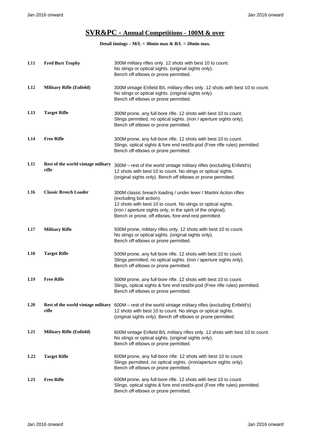## **SVR&PC - Annual Competitions - 100M & over**

| L11 | <b>Fred Burt Trophy</b>                     | 300M military rifles only. 12 shots with best 10 to count.<br>No slings or optical sights. (original sights only).<br>Bench off elbows or prone permitted.                                                                                                                             |
|-----|---------------------------------------------|----------------------------------------------------------------------------------------------------------------------------------------------------------------------------------------------------------------------------------------------------------------------------------------|
| L12 | <b>Military Rifle (Enfield)</b>             | 300M vintage Enfield B/L military rifles only. 12 shots with best 10 to count.<br>No slings or optical sights. (original sights only).<br>Bench off elbows or prone permitted.                                                                                                         |
| L13 | <b>Target Rifle</b>                         | 300M prone, any full-bore rifle. 12 shots with best 10 to count.<br>Slings permitted, no optical sights. (iron / aperture sights only).<br>Bench off elbows or prone permitted.                                                                                                        |
| L14 | <b>Free Rifle</b>                           | 300M prone, any full-bore rifle. 12 shots with best 10 to count.<br>Slings, optical sights & fore end rest/bi-pod (Free rifle rules) permitted.<br>Bench off elbows or prone permitted.                                                                                                |
| L15 | Rest of the world vintage military<br>rifle | 300M - rest of the world vintage military rifles (excluding Enfield's)<br>12 shots with best 10 to count. No slings or optical sights.<br>(original sights only). Bench off elbows or prone permitted.                                                                                 |
| L16 | <b>Classic Breech Loader</b>                | 300M classic breach loading / under lever / Martini Action rifles<br>(excluding bolt action).<br>12 shots with best 10 to count. No slings or optical sights.<br>(iron / aperture sights only, in the spirit of the original).<br>Bench or prone, off elbows, fore-end rest permitted. |
| L17 | <b>Military Rifle</b>                       | 500M prone, military rifles only. 12 shots with best 10 to count.<br>No slings or optical sights. (original sights only).<br>Bench off elbows or prone permitted.                                                                                                                      |
| L18 | <b>Target Rifle</b>                         | 500M prone, any full-bore rifle. 12 shots with best 10 to count.<br>Slings permitted, no optical sights. (iron / aperture sights only).<br>Bench off elbows or prone permitted.                                                                                                        |
| L19 | <b>Free Rifle</b>                           | 500M prone, any full-bore rifle. 12 shots with best 10 to count.<br>Slings, optical sights & fore end rest/bi-pod (Free rifle rules) permitted.<br>Bench off elbows or prone permitted.                                                                                                |
| L20 | rifle                                       | Rest of the world vintage military 600M - rest of the world vintage military rifles (excluding Enfield's)<br>12 shots with best 10 to count. No slings or optical sights.<br>(original sights only). Bench off elbows or prone permitted.                                              |
| L21 | <b>Military Rifle (Enfield)</b>             | 600M vintage Enfield B/L military rifles only. 12 shots with best 10 to count.<br>No slings or optical sights. (original sights only).<br>Bench off elbows or prone permitted.                                                                                                         |
| L22 | <b>Target Rifle</b>                         | 600M prone, any full-bore rifle. 12 shots with best 10 to count.<br>Slings permitted, no optical sights. (iron/aperture sights only).<br>Bench off elbows or prone permitted.                                                                                                          |
| L23 | <b>Free Rifle</b>                           | 600M prone, any full-bore rifle. 12 shots with best 10 to count.<br>Slings, optical sights & fore end rest/bi-pod (Free rifle rules) permitted.<br>Bench off elbows or prone permitted.                                                                                                |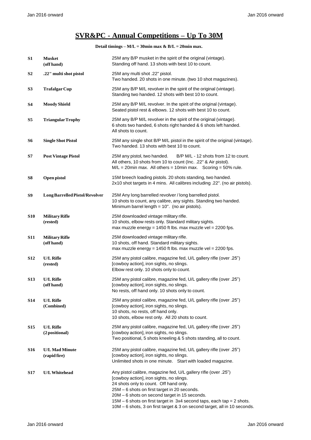## **SVR&PC - Annual Competitions – Up To 30M**

| S1             | <b>Musket</b><br>(off hand)           | 25M any B/P musket in the spirit of the original (vintage).<br>Standing off hand. 13 shots with best 10 to count.                                                                                                                                                                                                                                                                                            |
|----------------|---------------------------------------|--------------------------------------------------------------------------------------------------------------------------------------------------------------------------------------------------------------------------------------------------------------------------------------------------------------------------------------------------------------------------------------------------------------|
| S <sub>2</sub> | .22" multi shot pistol                | 25M any multi shot .22" pistol.<br>Two handed. 20 shots in one minute. (two 10 shot magazines).                                                                                                                                                                                                                                                                                                              |
| S <sub>3</sub> | <b>Trafalgar Cup</b>                  | 25M any B/P M/L revolver in the spirit of the original (vintage).<br>Standing two handed. 12 shots with best 10 to count.                                                                                                                                                                                                                                                                                    |
| <b>S4</b>      | <b>Moody Shield</b>                   | 25M any B/P M/L revolver. In the spirit of the original (vintage).<br>Seated pistol rest & elbows. 12 shots with best 10 to count.                                                                                                                                                                                                                                                                           |
| S <sub>5</sub> | <b>Triangular Trophy</b>              | 25M any B/P M/L revolver in the spirit of the original (vintage).<br>6 shots two handed, 6 shots right handed & 6 shots left handed.<br>All shots to count.                                                                                                                                                                                                                                                  |
| <b>S6</b>      | <b>Single Shot Pistol</b>             | 25M any single shot B/P M/L pistol in the spirit of the original (vintage).<br>Two handed. 13 shots with best 10 to count.                                                                                                                                                                                                                                                                                   |
| <b>S7</b>      | <b>Post Vintage Pistol</b>            | 25M any pistol, two handed.<br>B/P M/L - 12 shots from 12 to count.<br>All others, 10 shots from 10 to count (Inc. .22" & Air pistol).<br>$M/L = 20$ min max. All others = 10min max. Scoring = 50% rule.                                                                                                                                                                                                    |
| S8             | Open pistol                           | 15M breech loading pistols. 20 shots standing, two handed.<br>2x10 shot targets in 4 mins. All calibres including .22". (no air pistols).                                                                                                                                                                                                                                                                    |
| S9             | Long Barrelled Pistol/Revolver        | 25M Any long barrelled revolver / long barrelled pistol.<br>10 shots to count, any calibre, any sights. Standing two handed.<br>Minimum barrel length = 10". (no air pistols).                                                                                                                                                                                                                               |
| <b>S10</b>     | <b>Military Rifle</b><br>(rested)     | 25M downloaded vintage military rifle.<br>10 shots, elbow rests only. Standard military sights.<br>max muzzle energy = $1450$ ft lbs. max muzzle vel = $2200$ fps.                                                                                                                                                                                                                                           |
| <b>S11</b>     | <b>Military Rifle</b><br>(off hand)   | 25M downloaded vintage military rifle.<br>10 shots, off hand. Standard military sights.<br>max muzzle energy = $1450$ ft lbs. max muzzle vel = $2200$ fps.                                                                                                                                                                                                                                                   |
| <b>S12</b>     | <b>U/L Rifle</b><br>(rested)          | 25". 25" 25M any pistol calibre, magazine fed, U/L gallery rifle (over<br>[cowboy action], iron sights, no slings.<br>Elbow rest only. 10 shots only to count.                                                                                                                                                                                                                                               |
| <b>S13</b>     | <b>U/L Rifle</b><br>(off hand)        | 25M any pistol calibre, magazine fed, U/L gallery rifle (over .25")<br>[cowboy action], iron sights, no slings.<br>No rests, off hand only. 10 shots only to count.                                                                                                                                                                                                                                          |
| <b>S14</b>     | <b>U/L Rifle</b><br>(Combined)        | 25M any pistol calibre, magazine fed, U/L gallery rifle (over .25")<br>[cowboy action], iron sights, no slings.<br>10 shots, no rests, off hand only.<br>10 shots, elbow rest only. All 20 shots to count.                                                                                                                                                                                                   |
| <b>S15</b>     | <b>U/L Rifle</b><br>(2 positional)    | 25M any pistol calibre, magazine fed, U/L gallery rifle (over .25")<br>[cowboy action], iron sights, no slings.<br>Two positional, 5 shots kneeling & 5 shots standing, all to count.                                                                                                                                                                                                                        |
| <b>S16</b>     | <b>U/L Mad Minute</b><br>(rapid fire) | 25". 25" 25M any pistol calibre, magazine fed, U/L gallery rifle (over<br>[cowboy action], iron sights, no slings.<br>Unlimited shots in one minute. Start with loaded magazine.                                                                                                                                                                                                                             |
| <b>S17</b>     | <b>U/L Whitehead</b>                  | Any pistol calibre, magazine fed, U/L gallery rifle (over .25")<br>[cowboy action], iron sights, no slings.<br>24 shots only to count. Off hand only.<br>25M - 6 shots on first target in 20 seconds.<br>20M - 6 shots on second target in 15 seconds.<br>15M - 6 shots on first target in 3x4 second taps, each tap = 2 shots.<br>10M - 6 shots, 3 on first target & 3 on second target, all in 10 seconds. |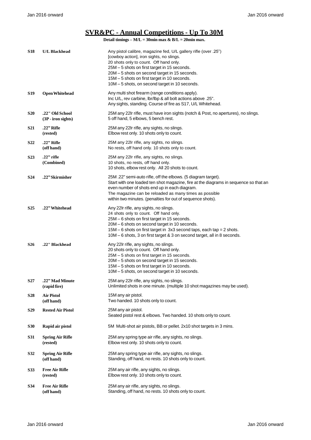## **SVR&PC - Annual Competitions - Up To 30M**

| S18              | <b>U/L Blackhead</b>                    | Any pistol calibre, magazine fed, U/L gallery rifle (over .25")<br>[cowboy action], iron sights, no slings.<br>20 shots only to count. Off hand only.<br>25M - 5 shots on first target in 15 seconds.<br>20M - 5 shots on second target in 15 seconds.<br>15M - 5 shots on first target in 10 seconds.<br>10M - 5 shots, on second target in 10 seconds. |
|------------------|-----------------------------------------|----------------------------------------------------------------------------------------------------------------------------------------------------------------------------------------------------------------------------------------------------------------------------------------------------------------------------------------------------------|
| S19              | <b>Open Whitehead</b>                   | Any multi shot firearm (range conditions apply).<br>Inc U/L, rev carbine, lbr/lbp & all bolt actions above .25".<br>Any sights, standing. Course of fire as S17, U/L Whitehead.                                                                                                                                                                          |
| <b>S20</b>       | .22" Old School<br>$(3P - iron$ sights) | 25M any 22Ir rifle, must have iron sights (notch & Post, no apertures), no slings.<br>5 off hand, 5 elbows, 5 bench rest.                                                                                                                                                                                                                                |
| <b>S21</b>       | .22" Rifle<br>(rested)                  | 25M any 22Ir rifle, any sights, no slings.<br>Elbow rest only. 10 shots only to count.                                                                                                                                                                                                                                                                   |
| S <sub>2</sub> 2 | .22" Rifle<br>(off hand)                | 25M any 22Ir rifle, any sights, no slings.<br>No rests, off hand only. 10 shots only to count.                                                                                                                                                                                                                                                           |
| S <sub>2</sub> 3 | $.22"$ rifle<br>(Combined)              | 25M any 22Ir rifle, any sights, no slings.<br>10 shots, no rests, off hand only.<br>10 shots, elbow rest only. All 20 shots to count.                                                                                                                                                                                                                    |
| S24              | .22" Skirmisher                         | 25M.22" semi-auto rifle, off the elbows. (5 diagram target).<br>Start with one loaded ten shot magazine, fire at the diagrams in sequence so that an<br>even number of shots end up in each diagram.<br>The magazine can be reloaded as many times as possible<br>within two minutes. (penalties for out of sequence shots).                             |
| S <sub>25</sub>  | .22" Whitehead                          | Any 22Ir rifle, any sights, no slings.<br>24 shots only to count. Off hand only.<br>25M - 6 shots on first target in 15 seconds.<br>20M - 6 shots on second target in 10 seconds.<br>15M - 6 shots on first target in 3x3 second taps, each tap = 2 shots.<br>10M – 6 shots, 3 on first target & 3 on second target, all in 8 seconds.                   |
| <b>S26</b>       | .22" Blackhead                          | Any 22Ir rifle, any sights, no slings.<br>20 shots only to count. Off hand only.<br>25M - 5 shots on first target in 15 seconds.<br>20M - 5 shots on second target in 15 seconds.<br>15M - 5 shots on first target in 10 seconds.<br>10M - 5 shots, on second target in 10 seconds.                                                                      |
| S <sub>27</sub>  | .22" Mad Minute<br>(rapid fire)         | 25M any 22Ir rifle, any sights, no slings.<br>Unlimited shots in one minute. (multiple 10 shot magazines may be used).                                                                                                                                                                                                                                   |
| S <sub>28</sub>  | <b>Air Pistol</b><br>(off hand)         | 15M any air pistol.<br>Two handed. 10 shots only to count.                                                                                                                                                                                                                                                                                               |
| S <sub>29</sub>  | <b>Rested Air Pistol</b>                | 25M any air pistol.<br>Seated pistol rest & elbows. Two handed. 10 shots only to count.                                                                                                                                                                                                                                                                  |
| <b>S30</b>       | Rapid air pistol                        | 5M Multi-shot air pistols, BB or pellet. 2x10 shot targets in 3 mins.                                                                                                                                                                                                                                                                                    |
| <b>S31</b>       | <b>Spring Air Rifle</b><br>(rested)     | 25M any spring type air rifle, any sights, no slings.<br>Elbow rest only. 10 shots only to count.                                                                                                                                                                                                                                                        |
| S32              | <b>Spring Air Rifle</b><br>(off hand)   | 25M any spring type air rifle, any sights, no slings.<br>Standing, off hand, no rests. 10 shots only to count.                                                                                                                                                                                                                                           |
| S33              | <b>Free Air Rifle</b><br>(rested)       | 25M any air rifle, any sights, no slings.<br>Elbow rest only. 10 shots only to count.                                                                                                                                                                                                                                                                    |
| S34              | <b>Free Air Rifle</b><br>(off hand)     | 25M any air rifle, any sights, no slings.<br>Standing, off hand, no rests. 10 shots only to count.                                                                                                                                                                                                                                                       |